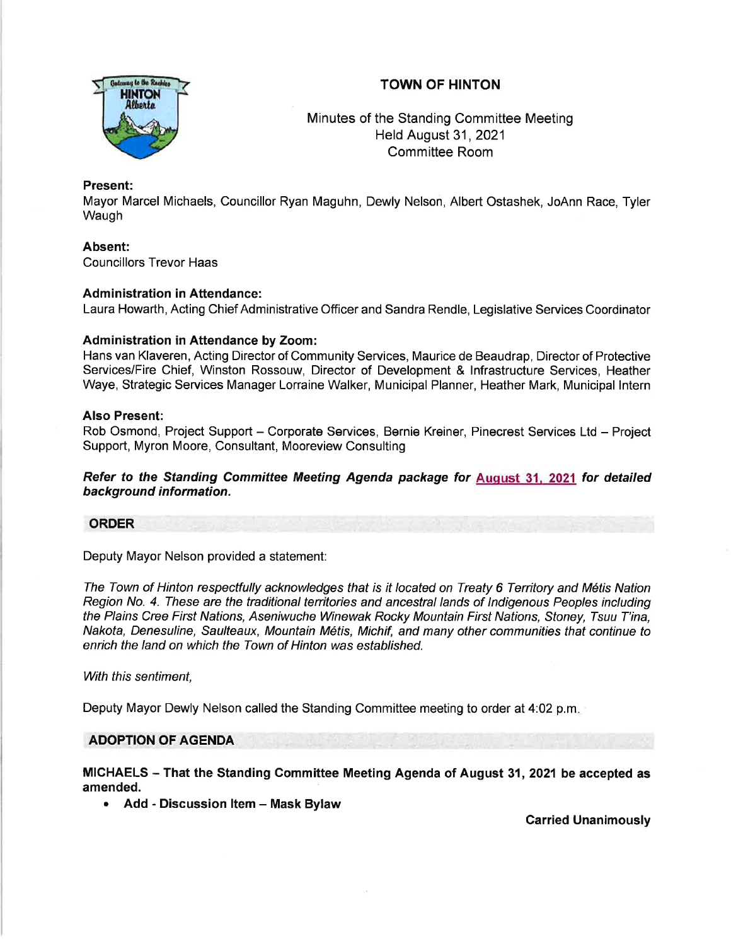# TOWN OF HINTON



Minutes of the Standing Committee Meeting Held August 31, 2021 Committee Room

### Present:

Mayor Marcel Michaels, Councillor Ryan Maguhn, Dewly Nelson, Albert Ostashek, JoAnn Race, Tyler Waugh

# Absent:

Councillors Trevor Haas

# Administration in Attendance:

Laura Howarth, Acting Chief Administrative Officer and Sandra Rendle, Legislative Services Coordinator

# Administration in Attendance by Zoom:

Hans van Klaveren, Acting Director of Community Services, Maurice de Beaudrap, Director of Protective Services/Fire Chief, Winston Rossouw, Director of Development & lnfrastructure Services, Heather Waye, Strategic Services Manager Lorraine Walker, Municipal Planner, Heather Mark, Municipal lntern

### Also Present:

Rob Osmond, Project Support - Corporate Services, Bernie Kreiner, Pinecrest Services Ltd - Project Support, Myron Moore, Consultant, Mooreview Consulting

Refer to the Standing Committee Meeting Agenda package for Auqust 31, 2021 for detailed background information.

### ORDER

Deputy Mayor Nelson provided a statement:

The Town of Hinton respectfully acknowledges that is it located on Treaty 6 Territory and M6tis Nation Region No. 4. These are the traditional territories and ancestral lands of Indigenous Peoples including the Plains Cree First Nations, Aseniwuche Winewak Rocky Mountain First Nations, Sfoney, Tsuu T'ina, Nakota, Denesuline, Saulteaux, Mountain M6tis, Michif, and many other communities that continue to enrich the land on which the Town of Hinton was established.

With this sentiment,

Deputy Mayor Dewly Nelson called the Standing Committee meeting to order at 4:02 p.m

### ADOPTION OF AGENDA

MICHAELS - That the Standing Committee Meeting Agenda of August 31,2021 be accepted as amended.

Add - Discussion Item - Mask Bylaw

Carried Unanimously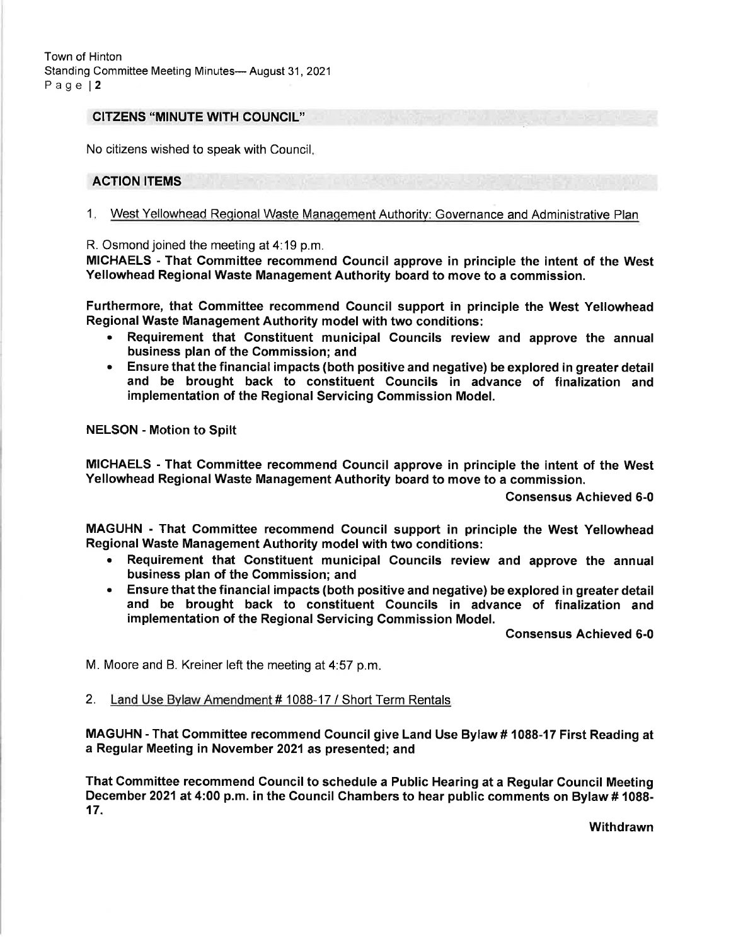#### CITZENS "MINUTE WITH COUNCIL''

No citizens wished to speak with Council

#### ACTION ITEMS

1. West Yellowhead Regional Waste Management Authority: Governance and Administrative Plan

R. Osmond joined the meeting at 4:19 p.m.

MICHAELS - That Committee recommend Council approve in principle the intent of the West Yellowhead Regional Waste Management Authority board to move to a commission.

Furthermore, that Committee recommend Council support in principle the West Yellowhead Regional Waste Management Authority model with two conditions:

- . Requirement that Constituent municipal Councils review and approve the annual business plan of the Commission; and
- . Ensure that the financial impacts (both positive and negative) be explored in greater detail and be brought back to constituent Gouncils in advance of finalization and implementation of the Regional Servicing Commission Model.

NELSON - Motion to Spilt

MICHAELS - That Committee recommend Council approve in principle the intent of the West Yellowhead Regional Waste Management Authority board to move to a commission.

Consensus Achieved 6-0

MAGUHN - That Committee recommend Council support in principle the West Yellowhead Regional Waste Management Authority model with two conditions:

- . Requirement that Constituent municipal Councils review and approve the annual business plan of the Commission; and
- . Ensure that the financial impacts (both positive and negative) be explored in greater detail and be brought back to constituent Councils in advance of finalization and implementation of the Regional Servicing Commission Model.

Consensus Achieved 6-0

M. Moore and B. Kreiner left the meeting at 4:57 p.m

2. Land Use Bvlaw Amendment # 1088-17 / Short Term Rentals

MAGUHN - That Committee recommend Council give Land Use Bylaw # 1088-17 First Reading at a Regular Meeting in November 2021as presented; and

That Committee recommend Council to schedule a Public Hearing at a Regular Gouncil Meeting December 2021 at 4:00 p.m. in the Council Chambers to hear public comments on Bylaw # 1088- 17.

**Withdrawn**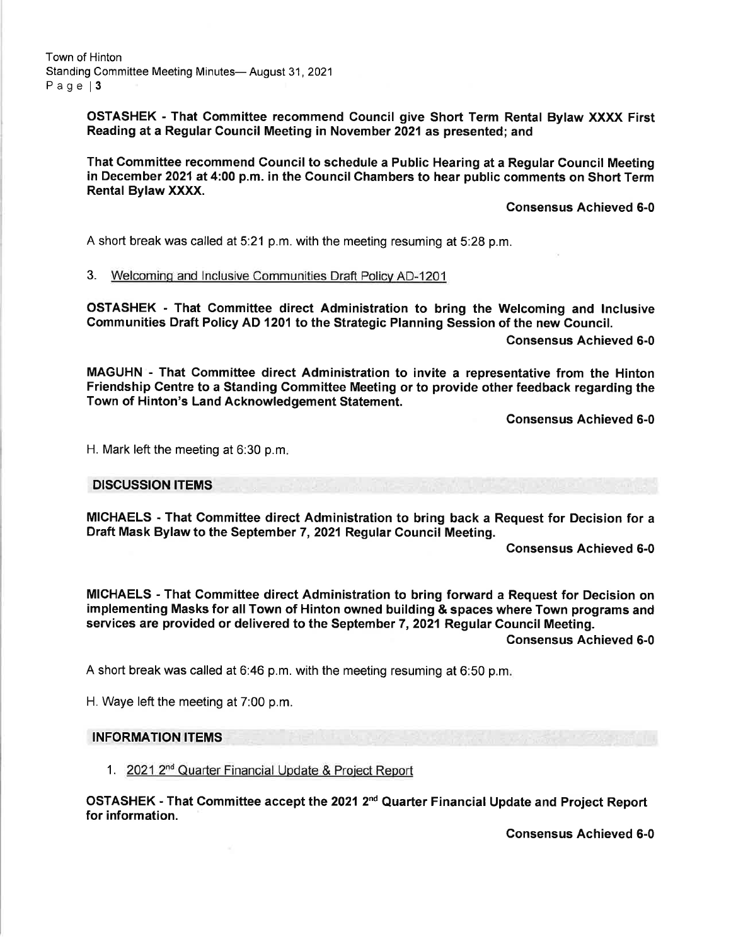Town of Hinton Standing Committee Meeting Minutes- August 31, 2021 Page 13

> OSTASHEK - That Committee recommend Council give Short Term Rental Bylaw XXXX First Reading at a Regular Council Meeting in Novembet 202l as presented; and

> That Gommittee recommend Council to schedule a Public Hearing at a Regular Council Meeting in December 2021at 4:00 p.m. in the Council Chambers to hear public comments on Short Term Rental Bylaw XXXX.

> > consensus Achieved 6-0

A short break was called at 5:21 p.m. with the meeting resuming at 5:28 p.m.

3. Welcominq and lnclusive Communities Draft Policv AD-1201

OSTASHEK - That Committee direct Administration to bring the Welcoming and lnclusive Communities Draft Policy AD 1201 to the Strategic Planning Session of the new Council.

Consensus Achieved 6-0

MAGUHN - That Committee direct Administration to invite a representative from the Hinton Friendship Gentre to a Standing Committee Meeting or to provide other feedback regarding the Town of Hinton's Land Acknowledgement Statement.

Consensus Achieved 6-0

H. Mark left the meeting at 6:30 p.m

DISCUSSION ITEMS

MICHAELS - That Commiftee direct Administration to bring back a Request for Decision for a Draft Mask Bylaw to the September 7,2021 Regular Council Meeting.

Consensus Achieved 6-0

MICHAELS - That Commiftee direct Administration to bring forward a Request for Decision on implementing Masks for all Town of Hinton owned building & spaces where Town programs and services are provided or delivered to the September 7, 2021 Regular Gouncil Meeting.

Consensus Achieved 6-0

A short break was called at 6:46 p.m. with the meeting resuming at 6:50 p.m

H. Waye left the meeting at 7:00 p.m.

#### INFORMATION ITEMS

1. 2021 2<sup>nd</sup> Quarter Financial Update & Project Report

OSTASHEK - That Committee accept the 2021 2<sup>nd</sup> Quarter Financial Update and Project Report for information.

Gonsensus Achieved 6-0